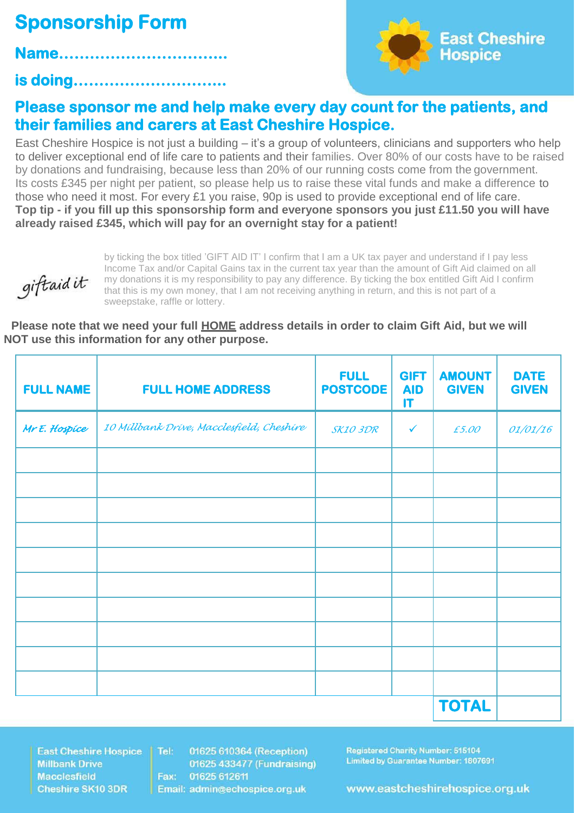## **Sponsorship Form**

**is doing………………………...** 

**Name…………………………...** 



## **Please sponsor me and help make every day count for the patients, and their families and carers at East Cheshire Hospice.**

East Cheshire Hospice is not just a building – it's a group of volunteers, clinicians and supporters who help to deliver exceptional end of life care to patients and their families. Over 80% of our costs have to be raised by donations and fundraising, because less than 20% of our running costs come from the government. Its costs £345 per night per patient, so please help us to raise these vital funds and make a difference to those who need it most. For every £1 you raise, 90p is used to provide exceptional end of life care. **Top tip - if you fill up this sponsorship form and everyone sponsors you just £11.50 you will have already raised £345, which will pay for an overnight stay for a patient!**



by ticking the box titled 'GIFT AID IT' I confirm that I am a UK tax payer and understand if I pay less Income Tax and/or Capital Gains tax in the current tax year than the amount of Gift Aid claimed on all my donations it is my responsibility to pay any difference. By ticking the box entitled Gift Aid I confirm that this is my own money, that I am not receiving anything in return, and this is not part of a sweepstake, raffle or lottery.

**Please note that we need your full HOME address details in order to claim Gift Aid, but we will NOT use this information for any other purpose.**

| <b>FULL NAME</b> | <b>FULL HOME ADDRESS</b>                  | <b>FULL</b><br><b>POSTCODE</b> | <b>GIFT</b><br><b>AID</b><br>$\mathsf{I}\mathsf{T}$ | <b>AMOUNT</b><br><b>GIVEN</b> | <b>DATE</b><br><b>GIVEN</b> |
|------------------|-------------------------------------------|--------------------------------|-----------------------------------------------------|-------------------------------|-----------------------------|
| Mr E. Hospice    | 10 Millbank Drive, Macclesfield, Cheshire | SK103DR                        | $\checkmark$                                        | £5.00                         | 01/01/16                    |
|                  |                                           |                                |                                                     |                               |                             |
|                  |                                           |                                |                                                     |                               |                             |
|                  |                                           |                                |                                                     |                               |                             |
|                  |                                           |                                |                                                     |                               |                             |
|                  |                                           |                                |                                                     |                               |                             |
|                  |                                           |                                |                                                     |                               |                             |
|                  |                                           |                                |                                                     |                               |                             |
|                  |                                           |                                |                                                     | <b>TOTAL</b>                  |                             |

**East Cheshire Hospice Millbank Drive Macclesfield Cheshire SK10 3DR** 

01625 610364 (Reception) Tel: 01625 433477 (Fundraising) Fax: 01625 612611 Email: admin@echospice.org.uk

**Registered Charity Number: 515104** Limited by Guarantee Number: 1807691

www.eastcheshirehospice.org.uk